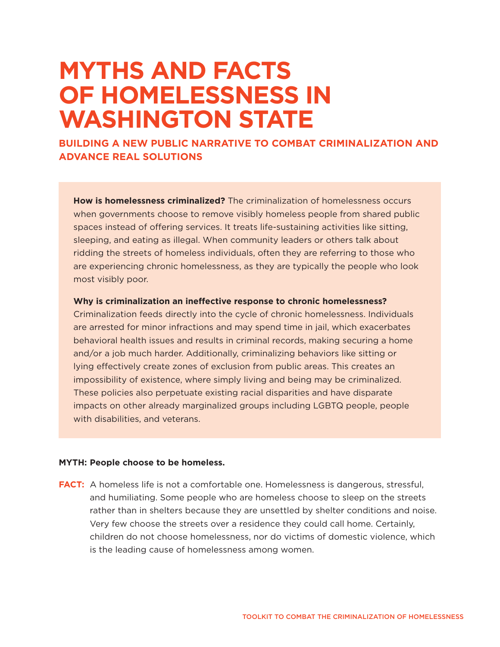# **MYTHS AND FACTS OF HOMELESSNESS IN WASHINGTON STATE**

**BUILDING A NEW PUBLIC NARRATIVE TO COMBAT CRIMINALIZATION AND ADVANCE REAL SOLUTIONS**

**How is homelessness criminalized?** The criminalization of homelessness occurs when governments choose to remove visibly homeless people from shared public spaces instead of offering services. It treats life-sustaining activities like sitting, sleeping, and eating as illegal. When community leaders or others talk about ridding the streets of homeless individuals, often they are referring to those who are experiencing chronic homelessness, as they are typically the people who look most visibly poor.

## **Why is criminalization an ineffective response to chronic homelessness?**

Criminalization feeds directly into the cycle of chronic homelessness. Individuals are arrested for minor infractions and may spend time in jail, which exacerbates behavioral health issues and results in criminal records, making securing a home and/or a job much harder. Additionally, criminalizing behaviors like sitting or lying effectively create zones of exclusion from public areas. This creates an impossibility of existence, where simply living and being may be criminalized. These policies also perpetuate existing racial disparities and have disparate impacts on other already marginalized groups including LGBTQ people, people with disabilities, and veterans.

## **MYTH: People choose to be homeless.**

**FACT:** A homeless life is not a comfortable one. Homelessness is dangerous, stressful, and humiliating. Some people who are homeless choose to sleep on the streets rather than in shelters because they are unsettled by shelter conditions and noise. Very few choose the streets over a residence they could call home. Certainly, children do not choose homelessness, nor do victims of domestic violence, which is the leading cause of homelessness among women.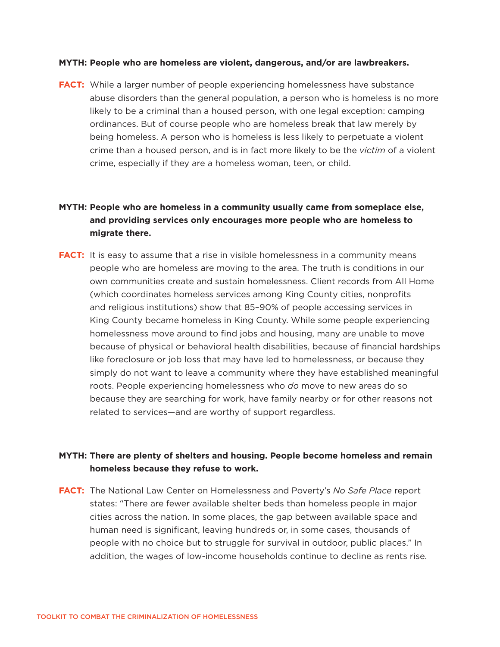## **MYTH: People who are homeless are violent, dangerous, and/or are lawbreakers.**

**FACT:** While a larger number of people experiencing homelessness have substance abuse disorders than the general population, a person who is homeless is no more likely to be a criminal than a housed person, with one legal exception: camping ordinances. But of course people who are homeless break that law merely by being homeless. A person who is homeless is less likely to perpetuate a violent crime than a housed person, and is in fact more likely to be the *victim* of a violent crime, especially if they are a homeless woman, teen, or child.

# **MYTH: People who are homeless in a community usually came from someplace else, and providing services only encourages more people who are homeless to migrate there.**

**FACT:** It is easy to assume that a rise in visible homelessness in a community means people who are homeless are moving to the area. The truth is conditions in our own communities create and sustain homelessness. Client records from All Home (which coordinates homeless services among King County cities, nonprofits and religious institutions) show that 85–90% of people accessing services in King County became homeless in King County. While some people experiencing homelessness move around to find jobs and housing, many are unable to move because of physical or behavioral health disabilities, because of financial hardships like foreclosure or job loss that may have led to homelessness, or because they simply do not want to leave a community where they have established meaningful roots. People experiencing homelessness who *do* move to new areas do so because they are searching for work, have family nearby or for other reasons not related to services—and are worthy of support regardless.

## **MYTH: There are plenty of shelters and housing. People become homeless and remain homeless because they refuse to work.**

**FACT:** The National Law Center on Homelessness and Poverty's *No Safe Place* report states: "There are fewer available shelter beds than homeless people in major cities across the nation. In some places, the gap between available space and human need is significant, leaving hundreds or, in some cases, thousands of people with no choice but to struggle for survival in outdoor, public places." In addition, the wages of low-income households continue to decline as rents rise.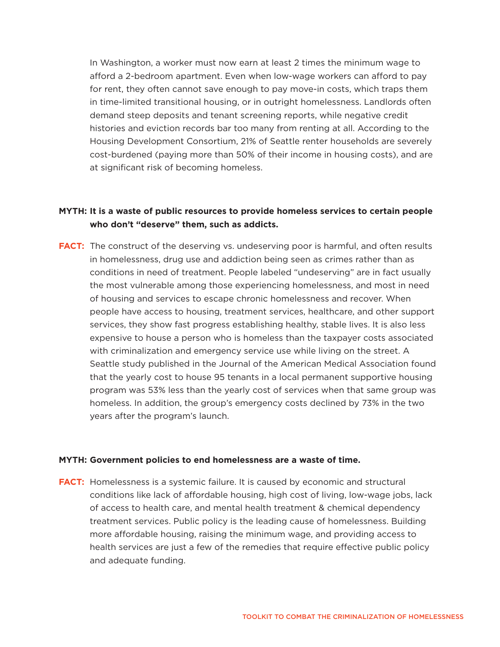In Washington, a worker must now earn at least 2 times the minimum wage to afford a 2-bedroom apartment. Even when low-wage workers can afford to pay for rent, they often cannot save enough to pay move-in costs, which traps them in time-limited transitional housing, or in outright homelessness. Landlords often demand steep deposits and tenant screening reports, while negative credit histories and eviction records bar too many from renting at all. According to the Housing Development Consortium, 21% of Seattle renter households are severely cost-burdened (paying more than 50% of their income in housing costs), and are at significant risk of becoming homeless.

## **MYTH: It is a waste of public resources to provide homeless services to certain people who don't "deserve" them, such as addicts.**

**FACT:** The construct of the deserving vs. undeserving poor is harmful, and often results in homelessness, drug use and addiction being seen as crimes rather than as conditions in need of treatment. People labeled "undeserving" are in fact usually the most vulnerable among those experiencing homelessness, and most in need of housing and services to escape chronic homelessness and recover. When people have access to housing, treatment services, healthcare, and other support services, they show fast progress establishing healthy, stable lives. It is also less expensive to house a person who is homeless than the taxpayer costs associated with criminalization and emergency service use while living on the street. A Seattle study published in the Journal of the American Medical Association found that the yearly cost to house 95 tenants in a local permanent supportive housing program was 53% less than the yearly cost of services when that same group was homeless. In addition, the group's emergency costs declined by 73% in the two years after the program's launch.

## **MYTH: Government policies to end homelessness are a waste of time.**

**FACT:** Homelessness is a systemic failure. It is caused by economic and structural conditions like lack of affordable housing, high cost of living, low-wage jobs, lack of access to health care, and mental health treatment & chemical dependency treatment services. Public policy is the leading cause of homelessness. Building more affordable housing, raising the minimum wage, and providing access to health services are just a few of the remedies that require effective public policy and adequate funding.